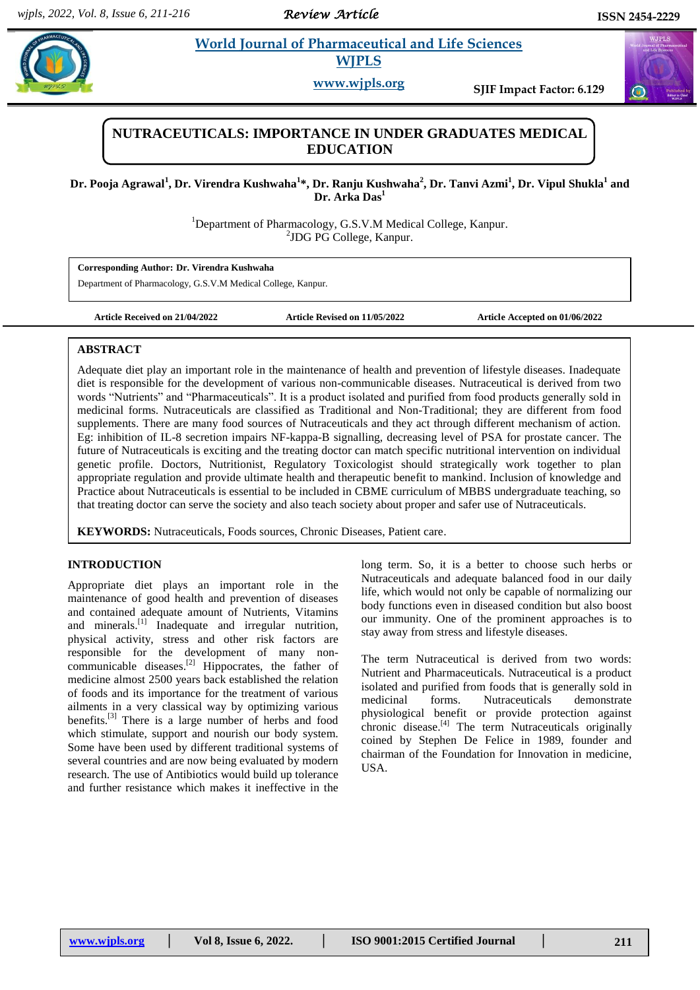*Review Article* 

# **Para** *Et al.* **2** *Morld Journal of Pharmaceutical and Life Sciences* **<b>***Reports* **WJPLS**

**www.wjpls.org SJIF Impact Factor: 6.129**

## **NUTRACEUTICALS: IMPORTANCE IN UNDER GRADUATES MEDICAL EDUCATION**

**Dr. Pooja Agrawal<sup>1</sup> , Dr. Virendra Kushwaha<sup>1</sup> \*, Dr. Ranju Kushwaha<sup>2</sup> , Dr. Tanvi Azmi<sup>1</sup> , Dr. Vipul Shukla<sup>1</sup> and Dr. Arka Das<sup>1</sup>**

> <sup>1</sup>Department of Pharmacology, G.S.V.M Medical College, Kanpur. 2 JDG PG College, Kanpur.

**Corresponding Author: Dr. Virendra Kushwaha**

Department of Pharmacology, G.S.V.M Medical College, Kanpur.

**Article Received on 21/04/2022 Article Revised on 11/05/2022 Article Accepted on 01/06/2022**

## **ABSTRACT**

Adequate diet play an important role in the maintenance of health and prevention of lifestyle diseases. Inadequate diet is responsible for the development of various non-communicable diseases. Nutraceutical is derived from two words "Nutrients" and "Pharmaceuticals". It is a product isolated and purified from food products generally sold in medicinal forms. Nutraceuticals are classified as Traditional and Non-Traditional; they are different from food supplements. There are many food sources of Nutraceuticals and they act through different mechanism of action. Eg: inhibition of IL-8 secretion impairs NF-kappa-B signalling, decreasing level of PSA for prostate cancer. The future of Nutraceuticals is exciting and the treating doctor can match specific nutritional intervention on individual genetic profile. Doctors, Nutritionist, Regulatory Toxicologist should strategically work together to plan appropriate regulation and provide ultimate health and therapeutic benefit to mankind. Inclusion of knowledge and Practice about Nutraceuticals is essential to be included in CBME curriculum of MBBS undergraduate teaching, so that treating doctor can serve the society and also teach society about proper and safer use of Nutraceuticals.

**KEYWORDS:** Nutraceuticals, Foods sources, Chronic Diseases, Patient care.

## **INTRODUCTION**

Appropriate diet plays an important role in the maintenance of good health and prevention of diseases and contained adequate amount of Nutrients, Vitamins and minerals.<sup>[1]</sup> Inadequate and irregular nutrition, physical activity, stress and other risk factors are responsible for the development of many noncommunicable diseases.<sup>[2]</sup> Hippocrates, the father of medicine almost 2500 years back established the relation of foods and its importance for the treatment of various ailments in a very classical way by optimizing various benefits.<sup>[3]</sup> There is a large number of herbs and food which stimulate, support and nourish our body system. Some have been used by different traditional systems of several countries and are now being evaluated by modern research. The use of Antibiotics would build up tolerance and further resistance which makes it ineffective in the

long term. So, it is a better to choose such herbs or Nutraceuticals and adequate balanced food in our daily life, which would not only be capable of normalizing our body functions even in diseased condition but also boost our immunity. One of the prominent approaches is to stay away from stress and lifestyle diseases.

The term Nutraceutical is derived from two words: Nutrient and Pharmaceuticals. Nutraceutical is a product isolated and purified from foods that is generally sold in medicinal forms. Nutraceuticals demonstrate physiological benefit or provide protection against chronic disease.<sup>[4]</sup> The term Nutraceuticals originally coined by Stephen De Felice in 1989, founder and chairman of the Foundation for Innovation in medicine, USA.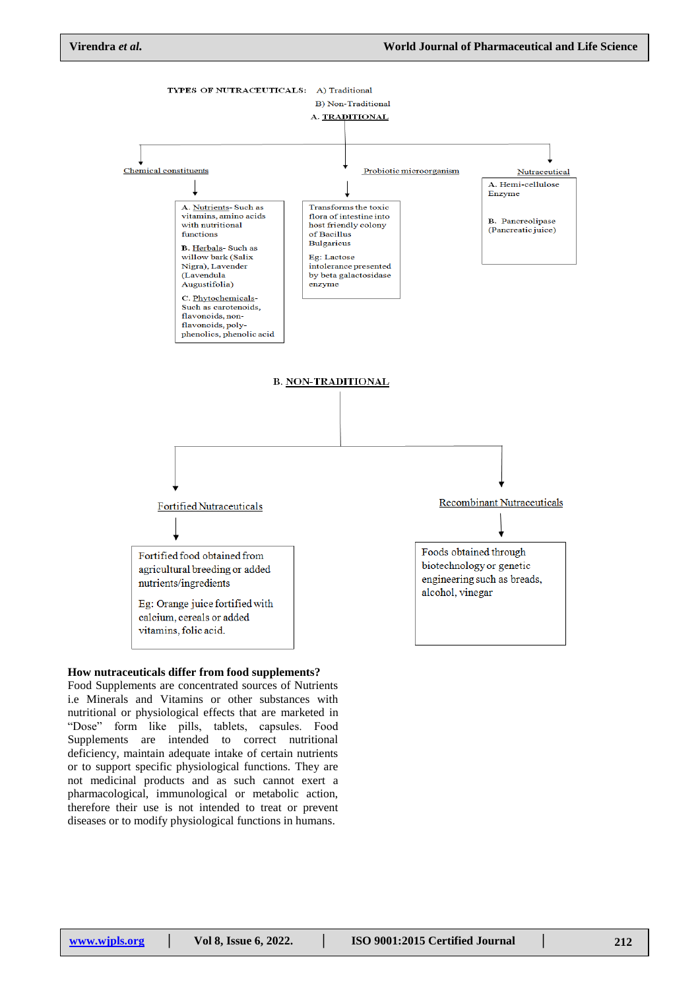

#### **How nutraceuticals differ from food supplements?**

Food Supplements are concentrated sources of Nutrients i.e Minerals and Vitamins or other substances with nutritional or physiological effects that are marketed in "Dose" form like pills, tablets, capsules. Food Supplements are intended to correct nutritional deficiency, maintain adequate intake of certain nutrients or to support specific physiological functions. They are not medicinal products and as such cannot exert a pharmacological, immunological or metabolic action, therefore their use is not intended to treat or prevent diseases or to modify physiological functions in humans.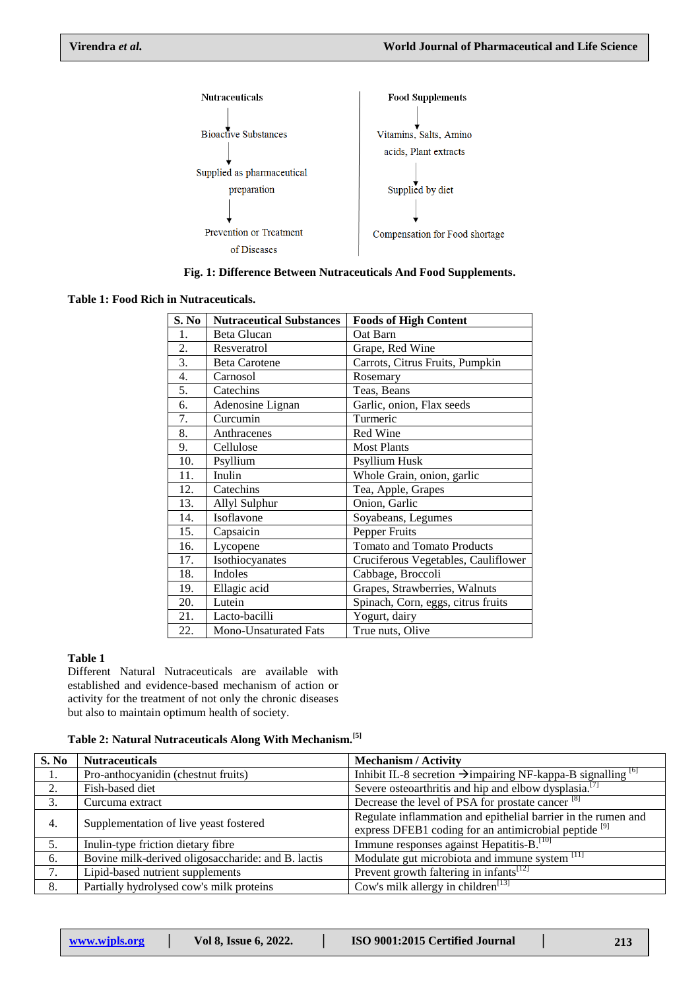

**Fig. 1: Difference Between Nutraceuticals And Food Supplements.**

**Table 1: Food Rich in Nutraceuticals.**

| S. No            | <b>Nutraceutical Substances</b> | <b>Foods of High Content</b>        |
|------------------|---------------------------------|-------------------------------------|
| 1.               | Beta Glucan                     | Oat Barn                            |
| 2.               | Resveratrol                     | Grape, Red Wine                     |
| 3.               | <b>Beta Carotene</b>            | Carrots, Citrus Fruits, Pumpkin     |
| $\overline{4}$ . | Carnosol                        | Rosemary                            |
| 5.               | Catechins                       | Teas, Beans                         |
| 6.               | Adenosine Lignan                | Garlic, onion, Flax seeds           |
| 7.               | Curcumin                        | Turmeric                            |
| 8.               | Anthracenes                     | Red Wine                            |
| 9.               | Cellulose                       | <b>Most Plants</b>                  |
| 10.              | Psyllium                        | Psyllium Husk                       |
| 11.              | Inulin                          | Whole Grain, onion, garlic          |
| 12.              | Catechins                       | Tea, Apple, Grapes                  |
| 13.              | Allyl Sulphur                   | Onion, Garlic                       |
| 14.              | Isoflavone                      | Soyabeans, Legumes                  |
| 15.              | Capsaicin                       | Pepper Fruits                       |
| 16.              | Lycopene                        | <b>Tomato and Tomato Products</b>   |
| 17.              | Isothiocyanates                 | Cruciferous Vegetables, Cauliflower |
| 18.              | Indoles                         | Cabbage, Broccoli                   |
| 19.              | Ellagic acid                    | Grapes, Strawberries, Walnuts       |
| 20.              | Lutein                          | Spinach, Corn, eggs, citrus fruits  |
| 21.              | Lacto-bacilli                   | Yogurt, dairy                       |
| 22.              | Mono-Unsaturated Fats           | True nuts, Olive                    |

#### **Table 1**

Different Natural Nutraceuticals are available with established and evidence-based mechanism of action or activity for the treatment of not only the chronic diseases but also to maintain optimum health of society.

## **Table 2: Natural Nutraceuticals Along With Mechanism.[5]**

| S. No | <b>Nutraceuticals</b>                              | <b>Mechanism / Activity</b>                                              |
|-------|----------------------------------------------------|--------------------------------------------------------------------------|
| 1.    | Pro-anthocyanidin (chestnut fruits)                | Inhibit IL-8 secretion $\rightarrow$ impairing NF-kappa-B signalling [6] |
| 2.    | Fish-based diet                                    | Severe osteoarthritis and hip and elbow dysplasia. <sup>[7]</sup>        |
| 3.    | Curcuma extract                                    | Decrease the level of PSA for prostate cancer <sup>[8]</sup>             |
| 4.    | Supplementation of live yeast fostered             | Regulate inflammation and epithelial barrier in the rumen and            |
|       |                                                    | express DFEB1 coding for an antimicrobial peptide <sup>[9]</sup>         |
| 5.    | Inulin-type friction dietary fibre                 | Immune responses against Hepatitis-B. <sup>[10]</sup>                    |
| 6.    | Bovine milk-derived oligosaccharide: and B. lactis | Modulate gut microbiota and immune system [11]                           |
| 7.    | Lipid-based nutrient supplements                   | Prevent growth faltering in infants <sup>[12]</sup>                      |
| 8.    | Partially hydrolysed cow's milk proteins           | Cow's milk allergy in children <sup>[13]</sup>                           |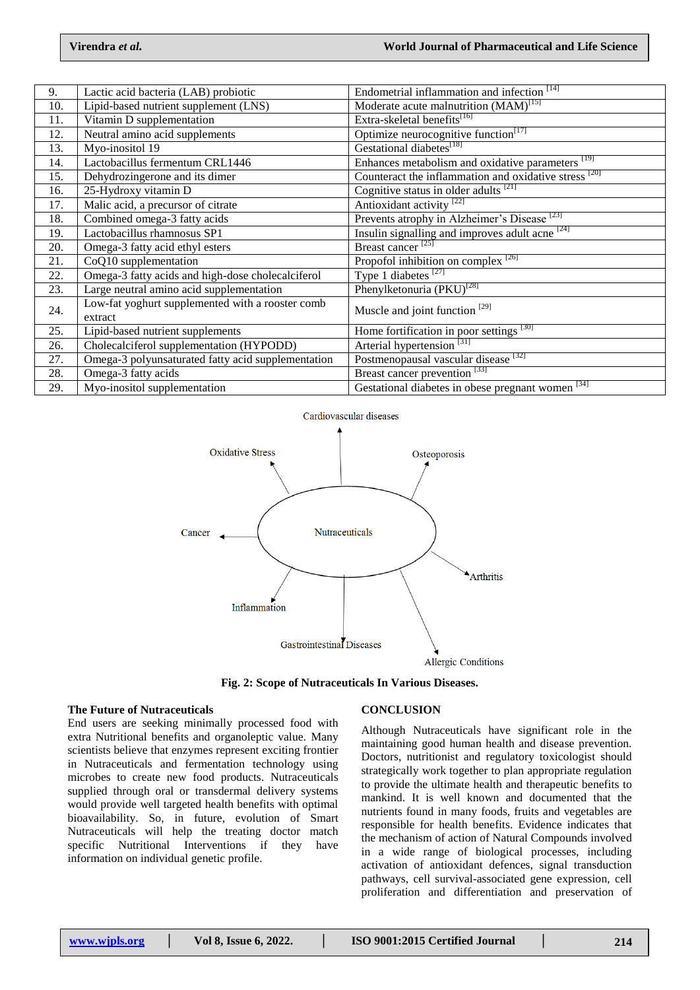| 9.  | Lactic acid bacteria (LAB) probiotic               | Endometrial inflammation and infection <sup>[14]</sup>       |
|-----|----------------------------------------------------|--------------------------------------------------------------|
| 10. | Lipid-based nutrient supplement (LNS)              | Moderate acute malnutrition (MAM) <sup>[15]</sup>            |
| 11. | Vitamin D supplementation                          | Extra-skeletal benefits <sup>[16]</sup>                      |
| 12. | Neutral amino acid supplements                     | Optimize neurocognitive function <sup>[17]</sup>             |
| 13. | Myo-inositol 19                                    | Gestational diabetes <sup>[18]</sup>                         |
| 14. | Lactobacillus fermentum CRL1446                    | Enhances metabolism and oxidative parameters <sup>[19]</sup> |
| 15. | Dehydrozingerone and its dimer                     | Counteract the inflammation and oxidative stress [20]        |
| 16. | 25-Hydroxy vitamin D                               | Cognitive status in older adults <sup>[21]</sup>             |
| 17. | Malic acid, a precursor of citrate                 | Antioxidant activity <sup>[22]</sup>                         |
| 18. | Combined omega-3 fatty acids                       | Prevents atrophy in Alzheimer's Disease <sup>[23]</sup>      |
| 19. | Lactobacillus rhamnosus SP1                        | Insulin signalling and improves adult acne <sup>[24]</sup>   |
| 20. | Omega-3 fatty acid ethyl esters                    | Breast cancer <sup>[25]</sup>                                |
| 21. | CoQ10 supplementation                              | Propofol inhibition on complex <sup>[26]</sup>               |
| 22. | Omega-3 fatty acids and high-dose cholecalciferol  | Type 1 diabetes $^{[27]}$                                    |
| 23. | Large neutral amino acid supplementation           | Phenylketonuria (PKU) <sup>[28]</sup>                        |
| 24. | Low-fat yoghurt supplemented with a rooster comb   | Muscle and joint function <sup>[29]</sup>                    |
|     | extract                                            |                                                              |
| 25. | Lipid-based nutrient supplements                   | Home fortification in poor settings [30]                     |
| 26. | Cholecalciferol supplementation (HYPODD)           | Arterial hypertension <sup>[31]</sup>                        |
| 27. | Omega-3 polyunsaturated fatty acid supplementation | Postmenopausal vascular disease [32]                         |
| 28. | Omega-3 fatty acids                                | Breast cancer prevention <sup>[33]</sup>                     |
| 29. | Myo-inositol supplementation                       | 34 <br>Gestational diabetes in obese pregnant women          |



**Fig. 2: Scope of Nutraceuticals In Various Diseases.**

#### **The Future of Nutraceuticals**

End users are seeking minimally processed food with extra Nutritional benefits and organoleptic value. Many scientists believe that enzymes represent exciting frontier in Nutraceuticals and fermentation technology using microbes to create new food products. Nutraceuticals supplied through oral or transdermal delivery systems would provide well targeted health benefits with optimal bioavailability. So, in future, evolution of Smart Nutraceuticals will help the treating doctor match specific Nutritional Interventions if they have information on individual genetic profile.

### **CONCLUSION**

Although Nutraceuticals have significant role in the maintaining good human health and disease prevention. Doctors, nutritionist and regulatory toxicologist should strategically work together to plan appropriate regulation to provide the ultimate health and therapeutic benefits to mankind. It is well known and documented that the nutrients found in many foods, fruits and vegetables are responsible for health benefits. Evidence indicates that the mechanism of action of Natural Compounds involved in a wide range of biological processes, including activation of antioxidant defences, signal transduction pathways, cell survival-associated gene expression, cell proliferation and differentiation and preservation of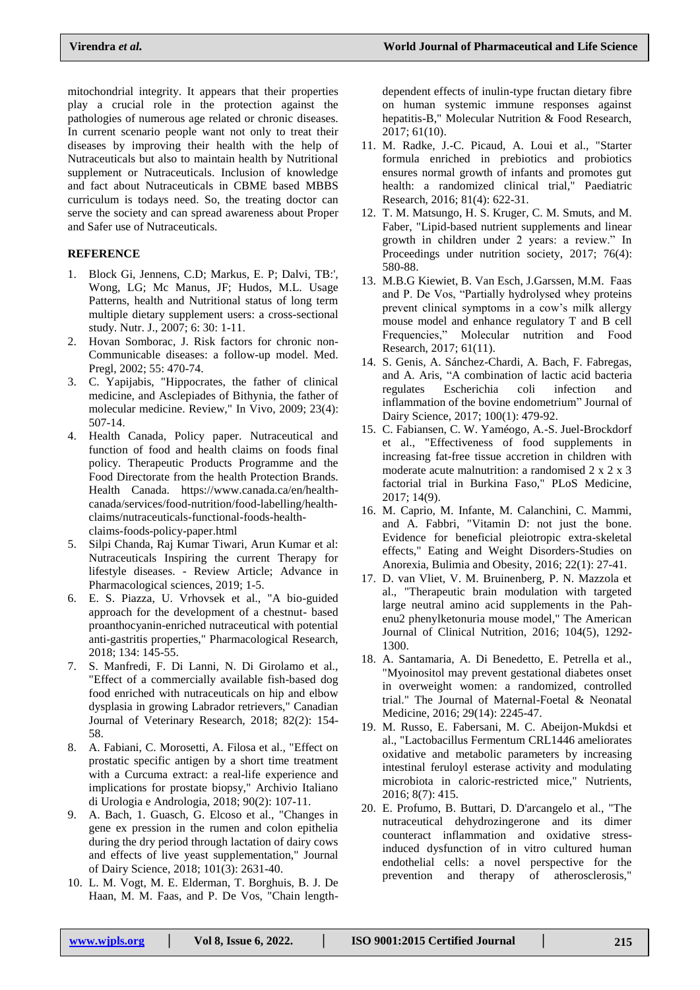mitochondrial integrity. It appears that their properties play a crucial role in the protection against the pathologies of numerous age related or chronic diseases. In current scenario people want not only to treat their diseases by improving their health with the help of Nutraceuticals but also to maintain health by Nutritional supplement or Nutraceuticals. Inclusion of knowledge and fact about Nutraceuticals in CBME based MBBS curriculum is todays need. So, the treating doctor can serve the society and can spread awareness about Proper and Safer use of Nutraceuticals.

## **REFERENCE**

- 1. Block Gi, Jennens, C.D; Markus, E. P; Dalvi, TB:', Wong, LG; Mc Manus, JF; Hudos, M.L. Usage Patterns, health and Nutritional status of long term multiple dietary supplement users: a cross-sectional study. Nutr. J., 2007; 6: 30: 1-11.
- 2. Hovan Somborac, J. Risk factors for chronic non-Communicable diseases: a follow-up model. Med. Pregl, 2002; 55: 470-74.
- 3. C. Yapijabis, "Hippocrates, the father of clinical medicine, and Asclepiades of Bithynia, the father of molecular medicine. Review," In Vivo, 2009; 23(4): 507-14.
- 4. Health Canada, Policy paper. Nutraceutical and function of food and health claims on foods final policy. Therapeutic Products Programme and the Food Directorate from the health Protection Brands. Health Canada. https://www.canada.ca/en/healthcanada/services/food-nutrition/food-labelling/healthclaims/nutraceuticals-functional-foods-healthclaims-foods-policy-paper.html
- 5. Silpi Chanda, Raj Kumar Tiwari, Arun Kumar et al: Nutraceuticals Inspiring the current Therapy for lifestyle diseases. - Review Article; Advance in Pharmacological sciences, 2019; 1-5.
- 6. E. S. Piazza, U. Vrhovsek et al., "A bio-guided approach for the development of a chestnut- based proanthocyanin-enriched nutraceutical with potential anti-gastritis properties," Pharmacological Research, 2018; 134: 145-55.
- 7. S. Manfredi, F. Di Lanni, N. Di Girolamo et al., "Effect of a commercially available fish-based dog food enriched with nutraceuticals on hip and elbow dysplasia in growing Labrador retrievers," Canadian Journal of Veterinary Research, 2018; 82(2): 154- 58.
- 8. A. Fabiani, C. Morosetti, A. Filosa et al., "Effect on prostatic specific antigen by a short time treatment with a Curcuma extract: a real-life experience and implications for prostate biopsy," Archivio Italiano di Urologia e Andrologia, 2018; 90(2): 107-11.
- 9. A. Bach, 1. Guasch, G. Elcoso et al., "Changes in gene ex pression in the rumen and colon epithelia during the dry period through lactation of dairy cows and effects of live yeast supplementation," Journal of Dairy Science, 2018; 101(3): 2631-40.
- 10. L. M. Vogt, M. E. Elderman, T. Borghuis, B. J. De Haan, M. M. Faas, and P. De Vos, "Chain length-

dependent effects of inulin-type fructan dietary fibre on human systemic immune responses against hepatitis-B," Molecular Nutrition & Food Research, 2017; 61(10).

- 11. M. Radke, J.-C. Picaud, A. Loui et al., "Starter formula enriched in prebiotics and probiotics ensures normal growth of infants and promotes gut health: a randomized clinical trial," Paediatric Research, 2016; 81(4): 622-31.
- 12. T. M. Matsungo, H. S. Kruger, C. M. Smuts, and M. Faber, "Lipid-based nutrient supplements and linear growth in children under 2 years: a review." In Proceedings under nutrition society, 2017; 76(4): 580-88.
- 13. M.B.G Kiewiet, B. Van Esch, J.Garssen, M.M. Faas and P. De Vos, "Partially hydrolysed whey proteins prevent clinical symptoms in a cow's milk allergy mouse model and enhance regulatory T and B cell Frequencies," Molecular nutrition and Food Research, 2017; 61(11).
- 14. S. Genis, A. Sánchez-Chardi, A. Bach, F. Fabregas, and A. Aris, "A combination of lactic acid bacteria regulates Escherichia coli infection and inflammation of the bovine endometrium" Journal of Dairy Science, 2017; 100(1): 479-92.
- 15. C. Fabiansen, C. W. Yaméogo, A.-S. Juel-Brockdorf et al., "Effectiveness of food supplements in increasing fat-free tissue accretion in children with moderate acute malnutrition: a randomised 2 x 2 x 3 factorial trial in Burkina Faso," PLoS Medicine, 2017; 14(9).
- 16. M. Caprio, M. Infante, M. Calanchini, C. Mammi, and A. Fabbri, "Vitamin D: not just the bone. Evidence for beneficial pleiotropic extra-skeletal effects," Eating and Weight Disorders-Studies on Anorexia, Bulimia and Obesity, 2016; 22(1): 27-41.
- 17. D. van Vliet, V. M. Bruinenberg, P. N. Mazzola et al., "Therapeutic brain modulation with targeted large neutral amino acid supplements in the Pahenu2 phenylketonuria mouse model," The American Journal of Clinical Nutrition, 2016; 104(5), 1292- 1300.
- 18. A. Santamaria, A. Di Benedetto, E. Petrella et al., "Myoinositol may prevent gestational diabetes onset in overweight women: a randomized, controlled trial." The Journal of Maternal-Foetal & Neonatal Medicine, 2016; 29(14): 2245-47.
- 19. M. Russo, E. Fabersani, M. C. Abeijon-Mukdsi et al., "Lactobacillus Fermentum CRL1446 ameliorates oxidative and metabolic parameters by increasing intestinal feruloyl esterase activity and modulating microbiota in caloric-restricted mice," Nutrients, 2016; 8(7): 415.
- 20. E. Profumo, B. Buttari, D. D'arcangelo et al., "The nutraceutical dehydrozingerone and its dimer counteract inflammation and oxidative stressinduced dysfunction of in vitro cultured human endothelial cells: a novel perspective for the prevention and therapy of atherosclerosis,"